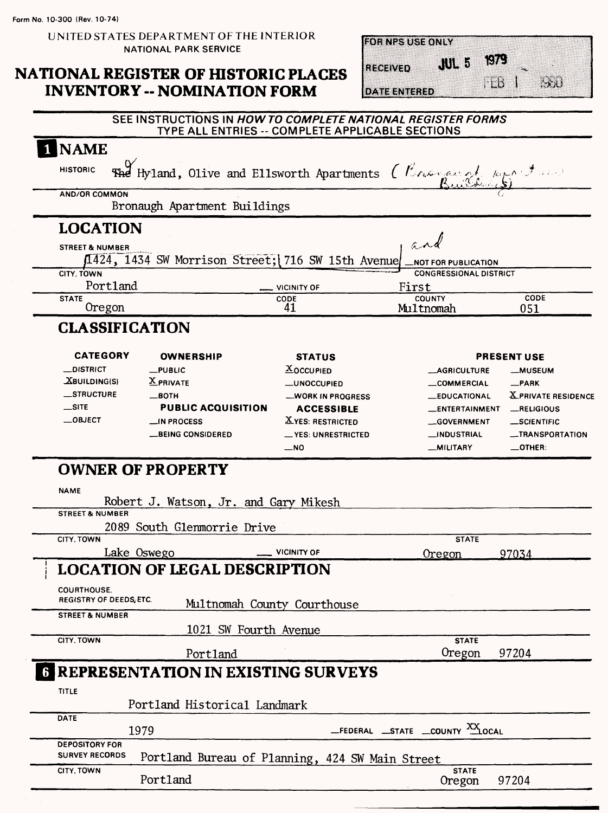**UNITED STATES DEPARTMENT OF THE INTERIOR NATIONAL PARK SERVICE**

#### **NATIONAL REGISTER OF HISTORIC PLACES INVENTORY - NOMINATION FORM**

| <b>FOR NPS USE ONLY</b> |                  |                           |      |
|-------------------------|------------------|---------------------------|------|
|                         |                  |                           |      |
| RECEIVED                | -5<br><b>JUL</b> | $\mathbb{C}(\mathcal{E})$ |      |
|                         |                  |                           |      |
| TE ENTERED              |                  | ۱Ď                        | ta a |

#### SEE INSTRUCTIONS IN **HOWTO COMPLETE NATIONAL REGISTER FORMS**  TYPE ALL ENTRIES -- COMPLETE APPLICABLE SECTIONS

| <b>NAME</b>                                         |                                                                                  |                                                |                                            |                                  |
|-----------------------------------------------------|----------------------------------------------------------------------------------|------------------------------------------------|--------------------------------------------|----------------------------------|
| <b>HISTORIC</b>                                     | <b>The Hyland, Olive and Ellsworth Apartments</b> ( <i>Congressed Reportment</i> |                                                |                                            |                                  |
| <b>AND/OR COMMON</b>                                | Bronaugh Apartment Buildings                                                     |                                                |                                            |                                  |
| <b>LOCATION</b>                                     |                                                                                  |                                                |                                            |                                  |
| <b>STREET &amp; NUMBER</b>                          | 1424, 1434 SW Morrison Street; 716 SW 15th Avenue                                |                                                | $a \wedge d$<br><b>NOT FOR PUBLICATION</b> |                                  |
| CITY, TOWN                                          |                                                                                  |                                                | <b>CONGRESSIONAL DISTRICT</b>              |                                  |
| Portland<br><b>STATE</b>                            |                                                                                  | VICINITY OF<br>CODE                            | First<br><b>COUNTY</b>                     | CODE                             |
| Oregon                                              |                                                                                  | 41                                             | Multnomah                                  | 051                              |
| <b>CLASSIFICATION</b>                               |                                                                                  |                                                |                                            |                                  |
| <b>CATEGORY</b>                                     | <b>OWNERSHIP</b>                                                                 | <b>STATUS</b>                                  |                                            | <b>PRESENT USE</b>               |
| <b>_DISTRICT</b>                                    | $_$ PUBLIC                                                                       | $X$ OCCUPIED                                   | <b>__AGRICULTURE</b>                       | <b>__MUSEUM</b>                  |
| $X$ BUILDING(S)<br><b>__STRUCTURE</b>               | <b>X</b> PRIVATE                                                                 | <b>_UNOCCUPIED</b>                             | <b>__COMMERCIAL</b>                        | $-$ PARK                         |
| $\equiv$ SITE                                       | —вотн<br><b>PUBLIC ACQUISITION</b>                                               | <b>__WORK IN PROGRESS</b><br><b>ACCESSIBLE</b> | <b>EDUCATIONAL</b><br>__ENTERTAINMENT      | X PRIVATE RESIDENCE<br>RELIGIOUS |
| $\_$ OBJECT                                         | <b>MPROCESS</b>                                                                  | <b>XYES: RESTRICTED</b>                        | __GOVERNMENT                               | __SCIENTIFIC                     |
|                                                     | <b>__BEING CONSIDERED</b>                                                        | __ YES: UNRESTRICTED                           | __INDUSTRIAL                               | _TRANSPORTATION                  |
|                                                     |                                                                                  | $-$ NO                                         | __MILITARY                                 | $\_$ OTHER.                      |
| <b>NAME</b><br><b>STREET &amp; NUMBER</b>           | Robert J. Watson, Jr. and Gary Mikesh<br>2089 South Glenmorrie Drive             |                                                |                                            |                                  |
| CITY. TOWN                                          |                                                                                  |                                                | <b>STATE</b>                               |                                  |
|                                                     | Lake Oswego                                                                      | <b>VICINITY OF</b>                             | Oregon                                     | 97034                            |
|                                                     | <b>LOCATION OF LEGAL DESCRIPTION</b>                                             |                                                |                                            |                                  |
| <b>COURTHOUSE.</b><br><b>REGISTRY OF DEEDS ETC.</b> | Multnomah County Courthouse                                                      |                                                |                                            |                                  |
| <b>STREET &amp; NUMBER</b>                          | 1021 SW Fourth Avenue                                                            |                                                |                                            |                                  |
| CITY, TOWN                                          | Portland                                                                         |                                                | <b>STATE</b><br>Oregon                     | 97204                            |
|                                                     | <b>6 REPRESENTATION IN EXISTING SURVEYS</b>                                      |                                                |                                            |                                  |
| TITLE                                               |                                                                                  |                                                |                                            |                                  |
|                                                     | Portland Historical Landmark                                                     |                                                |                                            |                                  |
| <b>DATE</b>                                         | 1979                                                                             |                                                | FEDERAL STATE COUNTY XXLOCAL               |                                  |
| <b>DEPOSITORY FOR</b><br><b>SURVEY RECORDS</b>      | Portland Bureau of Planning, 424 SW Main Street                                  |                                                |                                            |                                  |
| CITY, TOWN                                          | Portland                                                                         |                                                | <b>STATE</b>                               | 97204                            |
|                                                     |                                                                                  |                                                | Oregon                                     |                                  |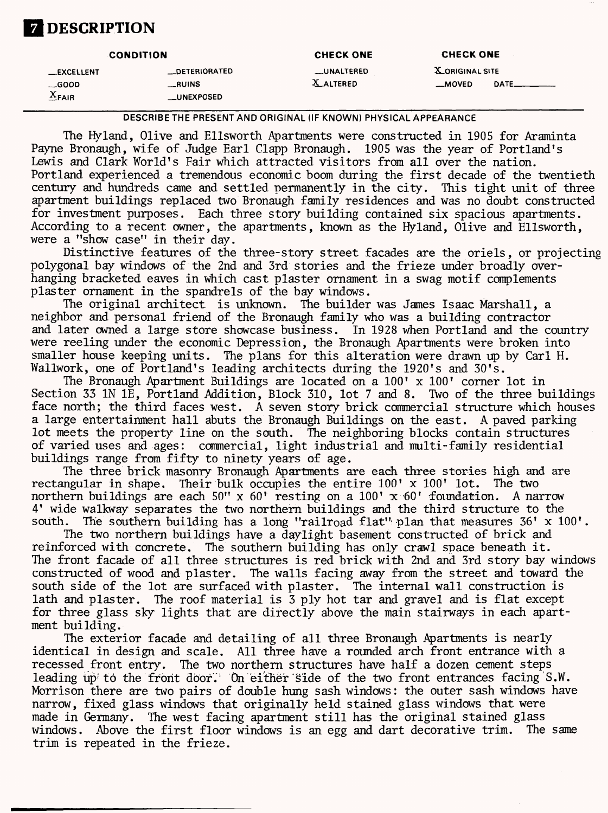# **Z** DESCRIPTION

|                                                  | <b>CONDITION</b>                        | <b>CHECK ONE</b>                      | <b>CHECK ONE</b>                  |                         |
|--------------------------------------------------|-----------------------------------------|---------------------------------------|-----------------------------------|-------------------------|
| <b>LEXCELLENT</b><br>$\equiv$ GOOD<br>$X_{FAIR}$ | _DETERIORATED<br>__RUINS<br>__UNEXPOSED | <b>LUNALTERED</b><br><b>X ALTERED</b> | <b>X_ORIGINAL SITE</b><br>__MOVED | <b>DATE_________</b> __ |

**DESCRIBETHE PRESENT AND ORIGINAL (IF KNOWN) PHYSICAL APPEARANCE**

The Hyland, Olive and Ellsworth Apartments were constructed in 1905 for Araminta Payne Bronaugh, wife of Judge Earl Clapp Bronaugh. 1905 was the year of Portland's Lewis and Clark World's Fair which attracted visitors from all over the nation. Portland experienced a tremendous economic boom during the first decade of the twentieth century and hundreds came and settled permanently in the city. This tight unit of three apartment buildings replaced two Bronaugh family residences and was no doubt constructed for investment purposes. Each three story building contained six spacious apartments. According to a recent owner, the apartments, known as the Hyland, Olive and Ellsworth, were a "show case" in their day.

Distinctive features of the three-story street facades are the oriels, or projecting polygonal bay windows of the 2nd and 3rd stories and the frieze under broadly overhanging bracketed eaves in which cast plaster ornament in a swag motif complements plaster ornament in the spandrels of the bay windows.

The original architect is unknown. The builder was James Isaac Marshall, a neighbor and personal friend of the Bronaugh family who was a building contractor and later owned a large store showcase business. In 1928 when Portland and the country were reeling under the economic Depression, the Bronaugh Apartments were broken into smaller house keeping units. The plans for this alteration were drawn up by Carl H. Wallwork, one of Portland's leading architects during the 1920's and 30's.

The Bronaugh Apartment Buildings are located on a 100' x 100' corner lot in Section 33 IN IE, Portland Addition, Block 310, lot 7 and 8. Two of the three buildings face north; the third faces west. A seven story brick commercial structure which houses a large entertainment hall abuts the Bronaugh Buildings on the east. A paved parking lot meets the property line on the south. The neighboring blocks contain structures of varied uses and ages: commercial, light industrial and multi-family residential buildings range from fifty to ninety years of age.

The three brick masonry Bronaugh Apartments are each three stories high and are rectangular in shape. Their bulk occupies the entire 100' x 100' lot. The two northern buildings are each  $50'' \times 60'$  resting on a  $100' \times 60'$  foundation. A narrow 4' wide walkway separates the two northern buildings and the third structure to the south. The southern building has a long "railroad flat" plan that measures  $36' \times 100'$ .

The two northern buildings have a daylight basement constructed of brick and reinforced with concrete. The southern building has only crawl space beneath it. The front facade of all three structures is red brick with 2nd and 3rd story bay windows constructed of wood and plaster. The walls facing away from the street and toward the south side of the lot are surfaced with plaster. The internal wall construction is lath and plaster. The roof material is 3 ply hot tar and gravel and is flat except for three glass sky lights that are directly above the main stairways in each apartment building.

The exterior facade and detailing of all three Bronaugh Apartments is nearly identical in design and scale. All three have a rounded arch front entrance with a recessed front entry. The two northern structures have half a dozen cement steps leading up; to the front door. On either side of the two front entrances facing S.W. Morrison there are two pairs of double hung sash windows: the outer sash windows have narrow, fixed glass windows that originally held stained glass windows that were made in Germany. The west facing apartment still has the original stained glass windows. Above the first floor windows is an egg and dart decorative trim. The same trim is repeated in the frieze.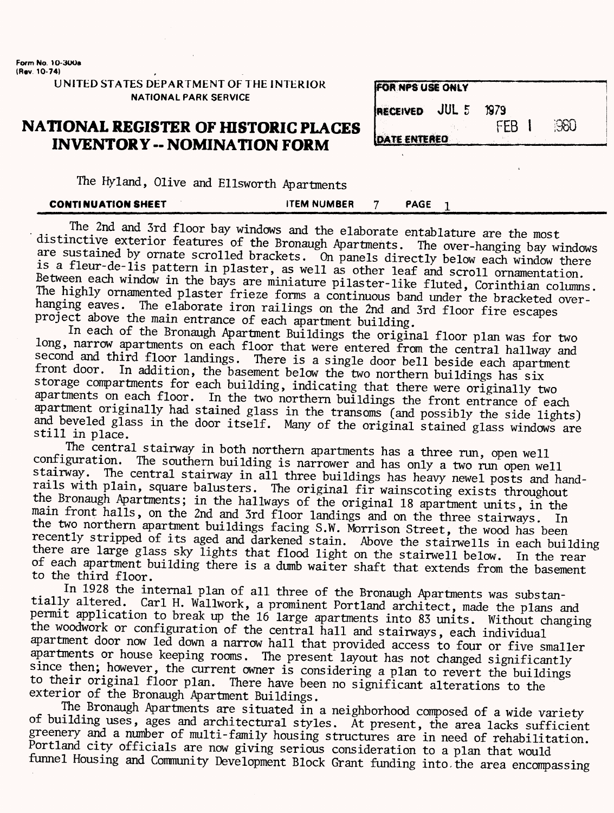**Contract** 

**UNITED STATES DEPARTMENT OF THE INTERIOR NATIONAL PARK SERVICE**

#### **NATIONAL REGISTER OF HISTORIC PLACES INVENTORY -- NOMINATION FORM**

| <b>FOR NPS USE ONLY</b>                |              |      |
|----------------------------------------|--------------|------|
| <b>IRECEIVED</b> JUL 5<br>DATE ENTERED | 1979<br>FFB. | ිනිට |

| The Hyland, Olive and Ellsworth Apartments |  |  |  |
|--------------------------------------------|--|--|--|
|--------------------------------------------|--|--|--|

| <b>CONTINUATION SHEET</b> | <b>ITEM NUMBER</b> | PAGE |
|---------------------------|--------------------|------|
|                           |                    |      |

The 2nd and 3rd floor bay windows and the elaborate entablature are the most distinctive exterior features of the Bronaugh Apartments. The over-hanging bay windows are sustained by ornate scrolled brackets. On panels directly below each window there is a fleur-de-lis pattern in plaster, as well as other leaf and scroll ornamentation. Between each window in the bays are miniature pilaster-like fluted, Corinthian columns. The highly ornamented plaster frieze forms a continuous band under the bracketed overhanging eaves. The elaborate iron railings on the 2nd and 3rd floor fire escapes project above the main entrance of each apartment building.

In each of the Bronaugh Apartment Buildings the original floor plan was for two long, narrow apartments on each floor that were entered from the central hallway and second and third floor landings. There is a single door bell beside each apartment<br>front door. In addition the basement below the two porthern huildings less In addition, the basement below the two northern buildings has six storage compartments for each building, indicating that there were originally two apartments on each floor. In the two northern buildings the front entrance of each apartment originally had stained glass in the transoms (and possibly the side lights} and beveled glass in the door itself. Many of the original stained glass windows are still in place.

The central stairway in both northern apartments has a three run, open well configuration. The southern building is narrower and has only a two run open well<br>stairway. The central stairway in all three buildings her house well The central stairway in all three buildings has heavy newel posts and handrails with plain, square balusters. The original fir wainscoting exists throughout the Bronaugh Apartments; in the hallways of the original 18 apartment units, in the main front halls, on the 2nd and 3rd floor landings and on the three stairways. In the two northern apartment buildings facing S.W. Morrison Street, the wood has been recently stripped of its aged and darkened stain. Above the stairwells in each building there are large glass sky lights that flood light on the stairwell below. In the rear of each apartment building there is a dumb waiter shaft that extends from the basement to the third floor.

In 1928 the internal plan of all three of the Bronaugh Apartments was substantially altered. Carl H. Wallwork, a prominent Portland architect, made the plans and permit application to break up the 16 large apartments into 83 units. Without changing the woodwork or configuration of the central hall and stairways, each individual apartment door now led down a narrow hall that provided access to four or five smaller apartments or house keeping rooms. The present layout has not changed significantly since then; however, the current owner is considering a plan to revert the buildings to their original floor plan. There have been no significant alterations to the exterior of the Bronaugh Apartment Buildings.

The Bronaugh Apartments are situated in a neighborhood composed of a wide variety of building uses, ages and architectural styles. At present, the area lacks sufficient greenery and a number of multi-family housing structures are in need of rehabilitation. Portland city officials are now giving serious consideration to a plan that would tunnel Housing and Community Development Block Grant funding into, the area encompassing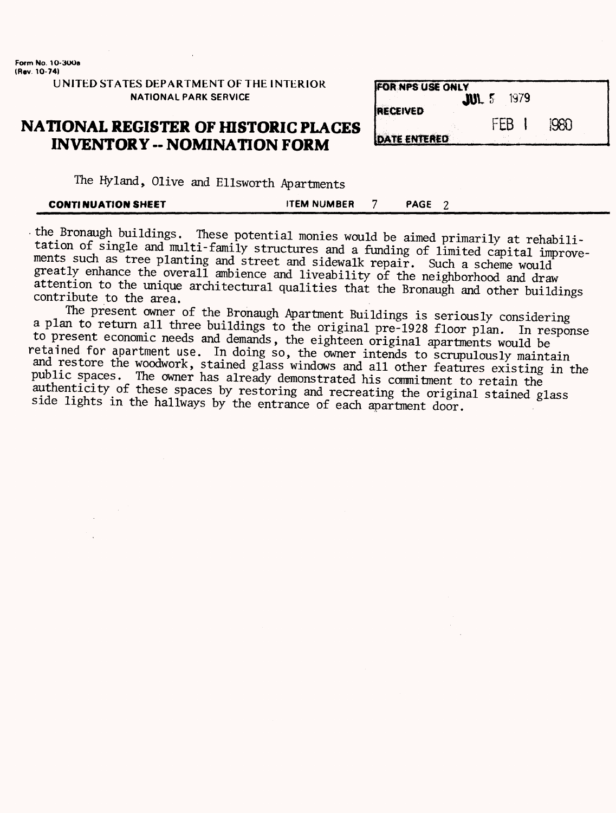| UNITED STATES DEPARTMENT OF THE INTERIOR |  |
|------------------------------------------|--|
| <b>NATIONAL PARK SERVICE</b>             |  |

#### **NATIONAL REGISTER OF HISTORIC PLACES INVENTORY - NOMINATION FORM**

| <b>FOR NPS USE ONLY</b><br>$\textbf{m}$ s<br><b>RECEIVED</b> |     | 1979 |      |
|--------------------------------------------------------------|-----|------|------|
| <b>DATE ENTERED</b>                                          | FFR |      | 1980 |

The Hyland, Olive and Ellsworth Apartments

| <b>CONTINUATION SHEET</b> | <b>ITEM NUMBER</b> |  | <b>PAGE</b> |  |
|---------------------------|--------------------|--|-------------|--|
|---------------------------|--------------------|--|-------------|--|

• the Bronaugh buildings. These potential monies would be aimed primarily at rehabili tation of single and multi-family structures and a funding of limited capital improvements such as tree planting and street and sidewalk repair. Such a scheme would greatly enhance the overall ambience and liveability of the neighborhood and draw attention to the unique architectural qualities that the Bronaugh and other buildings contribute to the area.

The present owner of the Bronaugh Apartment Buildings is seriously considering a plan to return all three buildings to the original pre-1928 floor plan. In response to present economic needs and demands, the eighteen original apartments would be retained for apartment use. In doing so, the owner intends to scrupulously maintain and restore the woodwork, stained glass windows and all other features existing in the public spaces. The owner has already demonstrated his commitment to retain the authenticity *of* these spaces by restoring and recreating the original stained glass side lights in the hallways by the entrance of each apartment door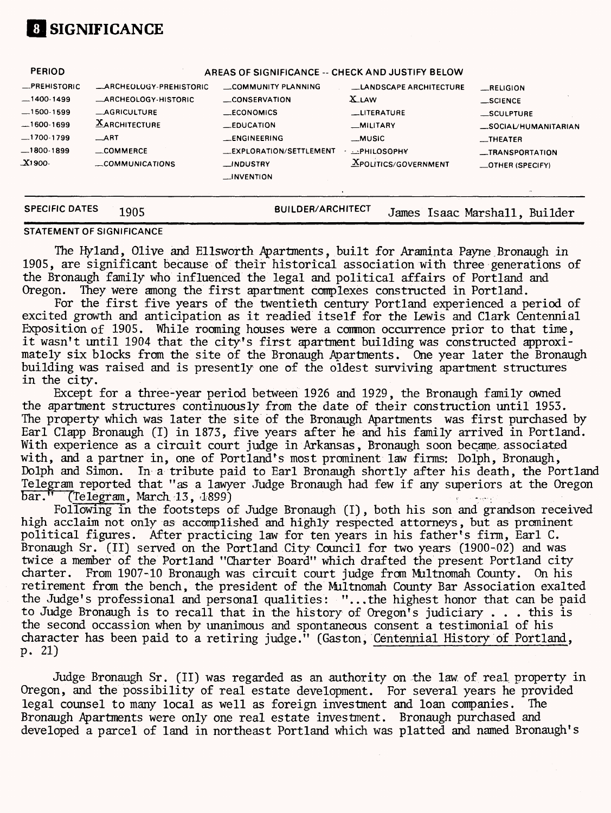

| <b>PERIOD</b>                                                                                          |                                                                                                                                                                     | AREAS OF SIGNIFICANCE -- CHECK AND JUSTIFY BELOW                                                                                                                                |                                                                                                                                                  |                                                                                                                       |
|--------------------------------------------------------------------------------------------------------|---------------------------------------------------------------------------------------------------------------------------------------------------------------------|---------------------------------------------------------------------------------------------------------------------------------------------------------------------------------|--------------------------------------------------------------------------------------------------------------------------------------------------|-----------------------------------------------------------------------------------------------------------------------|
| -PREHISTORIC<br>$-1400-1499$<br>$-1500-1599$<br>$-1600-1699$<br>$-1700-1799$<br>$-1800-1899$<br>X1900- | <b>_ARCHEOLOGY-PREHISTORIC</b><br><b>_ARCHEOLOGY-HISTORIC</b><br><b>_AGRICULTURE</b><br><b>XARCHITECTURE</b><br>$\equiv$ ART<br>$\equiv$ COMMERCE<br>COMMUNICATIONS | COMMUNITY PLANNING<br>CONSERVATION<br>$\_ECONOMICS$<br>$\equiv$ EDUCATION<br><b>LENGINEERING</b><br><b>LEXPLORATION/SETTLEMENT</b><br>$\Box$ NDUSTRY<br>$\rightarrow$ INVENTION | <b>LANDSCAPE ARCHITECTURE</b><br><b>X</b> LAW<br><b>LITERATURE</b><br>_MILITARY<br>__MUSIC<br><b>DEPHILOSOPHY</b><br><b>XPOLITICS/GOVERNMENT</b> | RELIGION<br>$\_$ SCIENCE<br>_SCULPTURE<br>_SOCIAL/HUMANITARIAN<br>$-$ THEATER<br>__TRANSPORTATION<br>_OTHER (SPECIFY) |
| <b>SPECIFIC DATES</b>                                                                                  | 1905                                                                                                                                                                | <b>BUILDER/ARCHITECT</b>                                                                                                                                                        |                                                                                                                                                  | James Isaac Marshall, Builder                                                                                         |

#### **STATEMENT OF SIGNIFICANCE**

The Hyland, Olive and Ellsworth Apartments, built for Araminta Payne. Bronaugh in 1905, are significant because of their historical association with three generations of the Bronaugh family who influenced the legal and political affairs of Portland and Oregon. They were among the first apartment complexes constructed in Portland. They were among the first apartment complexes constructed in Portland.

For the first five years of the twentieth century Portland experienced a period of excited growth and anticipation as it readied itself for the Lewis and Clark Centennial Exposition of 1905. While rooming houses were a common occurrence prior to that time, it wasn't until 1904 that the city's first apartment building was constructed approximately six blocks from the site of the Bronaugh Apartments. One year later the Bronaugh building was raised and is presently one of the oldest surviving apartment structures in the city.

Except for a three-year period between 1926 and 1929, the Bronaugh family owned the apartment structures continuously from the date of their construction until 1953. The property which was later the site of the Bronaugh Apartments was first purchased by Earl Clapp Bronaugh (I) in 1873, five years after he and his family arrived in Portland. With experience as a circuit court judge in Arkansas, Bronaugh soon became, associated with, and a partner in, one of Portland's most prominent law firms: Dolph, Bronaugh, Dolph and Simon. In a tribute paid to Earl Bronaugh shortly after his death, the Portland Telegram reported that "as a lawyer Judge Bronaugh had few if any superiors at the Oregon bar." (Telegram, March 13, 1899)

Following in the footsteps of Judge Bronaugh (I), both his son and grandson received high acclaim not only as accomplished and highly respected attorneys, but as prominent political figures. After practicing law for ten years in his father's firm, Earl C. Bronaugh Sr. (II) served on the Portland City Council for two years (1900-02) and was twice a member of the Portland "Charter Board" which drafted the present Portland city charter. From 1907-10 Bronaugh was circuit court judge from Multnomah County. On his retirement from the bench, the president of the Multnomah County Bar Association exalted the Judge's professional and personal qualities: "...the highest honor that can be paid to Judge Bronaugh is to recall that in the history of Oregon's judiciary . . . this is the second occassion when by unanimous and spontaneous consent a testimonial of his character has been paid to a retiring judge." (Gaston, Centennial History of Portland, p. 21)

Judge Bronaugh Sr. (II) was regarded as an authority on the law. of real property in Oregon, and the possibility of real estate development. For several years he provided legal counsel to many local as well as foreign investment and loan companies. The Bronaugh Apartments were only one real estate investment. Bronaugh purchased and developed a parcel of land in northeast Portland which was platted and named Bronaugh's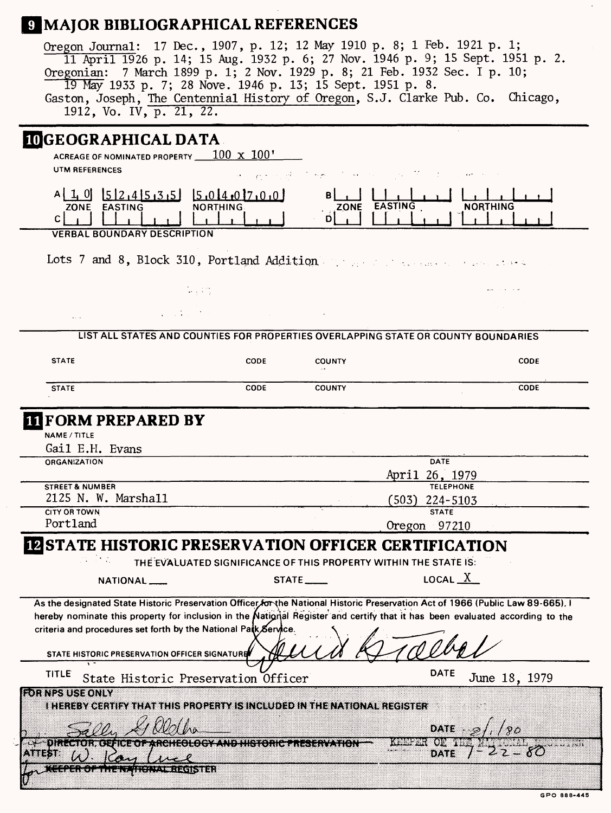# **9 MAJOR BIBLIOGRAPHICAL REFERENCES**

| Oregon Journal: 17 Dec., 1907, p. 12; 12 May 1910 p. 8; 1 Feb. 1921 p. 1;<br>Oregonian: 7 March 1899 p. 1; 2 Nov. 1929 p. 8; 21 Feb. 1932 Sec. I p. 10; | 19 May 1933 p. 7; 28 Nove. 1946 p. 13; 15 Sept. 1951 p. 8.<br>1912, Vo. IV, p. 21, 22. |                                              |                                     |                                   | 11 April 1926 p. 14; 15 Aug. 1932 p. 6; 27 Nov. 1946 p. 9; 15 Sept. 1951 p. 2.<br>Gaston, Joseph, The Centennial History of Oregon, S.J. Clarke Pub. Co. Chicago, |  |
|---------------------------------------------------------------------------------------------------------------------------------------------------------|----------------------------------------------------------------------------------------|----------------------------------------------|-------------------------------------|-----------------------------------|-------------------------------------------------------------------------------------------------------------------------------------------------------------------|--|
| <b>IOGEOGRAPHICAL DATA</b><br>ACREAGE OF NOMINATED PROPERTY $100 \times 100'$                                                                           |                                                                                        |                                              |                                     |                                   |                                                                                                                                                                   |  |
| <b>UTM REFERENCES</b>                                                                                                                                   |                                                                                        | الأواريب فالمر                               | المستحدث والمعادل المستناد المستوجب |                                   |                                                                                                                                                                   |  |
| $A$ [1,0][5]2,4]5,3,5][5,0]4,0]7,0,0]<br>ZONE EASTING<br>c  <br><b>VERBAL BOUNDARY DESCRIPTION</b>                                                      | NORTHING.                                                                              |                                              | ΒI<br>ZONE EASTING<br>D             |                                   | <b>NORTHING</b>                                                                                                                                                   |  |
|                                                                                                                                                         |                                                                                        |                                              |                                     |                                   |                                                                                                                                                                   |  |
| Lots 7 and 8, Block 310, Portland Addition and the contractors                                                                                          |                                                                                        |                                              |                                     |                                   |                                                                                                                                                                   |  |
|                                                                                                                                                         | 누나미                                                                                    |                                              |                                     |                                   |                                                                                                                                                                   |  |
|                                                                                                                                                         |                                                                                        |                                              |                                     |                                   |                                                                                                                                                                   |  |
|                                                                                                                                                         | LIST ALL STATES AND COUNTIES FOR PROPERTIES OVERLAPPING STATE OR COUNTY BOUNDARIES     |                                              |                                     |                                   |                                                                                                                                                                   |  |
| <b>STATE</b>                                                                                                                                            |                                                                                        | <b>CODE</b>                                  | <b>COUNTY</b>                       |                                   | CODE                                                                                                                                                              |  |
| <b>STATE</b>                                                                                                                                            |                                                                                        | <b>CODE</b>                                  | <b>COUNTY</b>                       |                                   | CODE                                                                                                                                                              |  |
|                                                                                                                                                         |                                                                                        |                                              |                                     |                                   |                                                                                                                                                                   |  |
|                                                                                                                                                         |                                                                                        |                                              |                                     |                                   |                                                                                                                                                                   |  |
| <b>IFORM PREPARED BY</b><br>NAME / TITLE                                                                                                                |                                                                                        |                                              |                                     |                                   |                                                                                                                                                                   |  |
| Gail E.H. Evans                                                                                                                                         |                                                                                        |                                              |                                     |                                   |                                                                                                                                                                   |  |
| ORGANIZATION                                                                                                                                            |                                                                                        |                                              |                                     | <b>DATE</b>                       |                                                                                                                                                                   |  |
|                                                                                                                                                         |                                                                                        |                                              |                                     | April 26, 1979                    |                                                                                                                                                                   |  |
| <b>STREET &amp; NUMBER</b><br>2125 N. W. Marshall                                                                                                       |                                                                                        |                                              |                                     | <b>TELEPHONE</b>                  |                                                                                                                                                                   |  |
| <b>CITY OR TOWN</b>                                                                                                                                     |                                                                                        |                                              |                                     | (503)<br>224-5103<br><b>STATE</b> |                                                                                                                                                                   |  |
| Portland                                                                                                                                                |                                                                                        |                                              |                                     | Oregon 97210                      |                                                                                                                                                                   |  |
| <b>ØSTATE HISTORIC PRESERVATION OFFICER CERTIFICATION</b>                                                                                               |                                                                                        |                                              |                                     |                                   |                                                                                                                                                                   |  |
|                                                                                                                                                         | THE EVALUATED SIGNIFICANCE OF THIS PROPERTY WITHIN THE STATE IS:                       |                                              |                                     |                                   |                                                                                                                                                                   |  |
| NATIONAL __                                                                                                                                             |                                                                                        | $STATE$ <sub>____</sub>                      |                                     | LOCAL $X$                         |                                                                                                                                                                   |  |
|                                                                                                                                                         |                                                                                        |                                              |                                     |                                   |                                                                                                                                                                   |  |
|                                                                                                                                                         |                                                                                        |                                              |                                     |                                   | As the designated State Historic Preservation Officer for the National Historic Preservation Act of 1966 (Public Law 89-665), I                                   |  |
| criteria and procedures set forth by the National Patk Service.                                                                                         |                                                                                        |                                              |                                     |                                   | hereby nominate this property for inclusion in the National Register and certify that it has been evaluated according to the                                      |  |
| STATE HISTORIC PRESERVATION OFFICER SIGNATURE                                                                                                           |                                                                                        |                                              |                                     |                                   |                                                                                                                                                                   |  |
| <b>TITLE</b>                                                                                                                                            |                                                                                        |                                              |                                     | <b>DATE</b>                       |                                                                                                                                                                   |  |
| OR NPS USE ONLY<br><b>I HEREBY CERTIFY THAT THIS PROPERTY IS INCLUDED IN THE NATIONAL REGISTER</b>                                                      | State Historic Preservation Officer                                                    |                                              |                                     |                                   | June 18, 1979                                                                                                                                                     |  |
|                                                                                                                                                         |                                                                                        |                                              |                                     |                                   |                                                                                                                                                                   |  |
|                                                                                                                                                         |                                                                                        |                                              |                                     | oar                               |                                                                                                                                                                   |  |
|                                                                                                                                                         |                                                                                        | <del>ciosy and his renie the Harrist</del> h |                                     | an an<br>87.XI                    |                                                                                                                                                                   |  |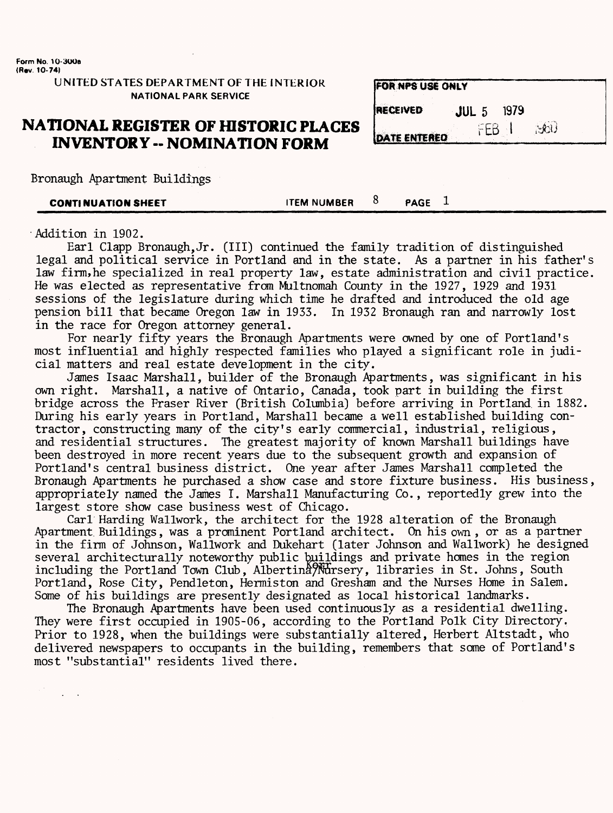UNITED STATES DEPARTMENT OF THE INTERIOR NATIONAL PARK SERVICE

#### **NATIONAL REGISTER OF HISTORIC PLACES INVENTORY -- NOMINATION FORM**

|  | Bronaugh Apartment Buildings |  |
|--|------------------------------|--|
|--|------------------------------|--|

|--|

**EOR NPS LISE ONLY** 

•Mdition in 1902.

Earl Clapp Bronaugh,Jr. (Ill) continued the family tradition of distinguished legal and political service in Portland and in the state. As a partner in his father's law firm,he specialized in real property law, estate administration and civil practice. He was elected as representative from Multnomah County in the 1927, 1929 and 1931 sessions of the legislature during which time he drafted and introduced the old age pension bill that became Oregon law in 1933. In 1932 Bronaugh ran and narrowly lost in the race for Oregon attorney general.

For nearly fifty years the Bronaugh Apartments were owned by one of Portland's most influential and highly respected families who played a significant role in judicial matters and real estate development in the city.

James Isaac Marshall, builder of the Bronaugh Apartments, was significant in his own right. Marshall, a native of Ontario, Canada, took part in building the first bridge across the Fraser River (British Columbia) before arriving in Portland in 1882. During his early years in Portland, Marshall became a well established building contractor, constructing many of the city's early commercial, industrial, religious, and residential structures. The greatest majority of known Marshall buildings have been destroyed in more recent years due to the subsequent growth and expansion of Portland's central business district. One year after James Marshall completed the Bronaugh Apartments he purchased a show case and store fixture business. His business, appropriately named the James I. Marshall Manufacturing Co., reportedly grew into the largest store show case business west of Chicago.

Carl Harding Wallwork, the architect for the 1928 alteration of the Bronaugh *Apartment.* Buildings, was a prominent Portland architect. On his own , or as a partner in the firm of Johnson, Wallwork and Dukehart (later Johnson and Wallwork) he designed several architecturally noteworthy public buildings and private homes in the region including the Portland Town Club, Albertina`YNdrsery, libraries in St. Johns, South Portland, Rose City, Pendleton, Hermiston and Gresham and the Nurses Home in Salem. Some of his buildings are presently designated as local historical landmarks.

The Bronaugh Apartments have been used continuously as a residential dwelling. They were first occupied in 1905-06, according to the Portland Polk City Directory. Prior to 1928, when the buildings were substantially altered, Herbert Altstadt, who delivered newspapers to occupants in the building, remembers that some of Portland's most "substantial" residents lived there.

| .               |                     |                       |  |
|-----------------|---------------------|-----------------------|--|
| <b>RECEIVED</b> | <b>JUL</b> $5$ 1979 |                       |  |
| DATE ENTERED    |                     | $FEB \rightarrow 560$ |  |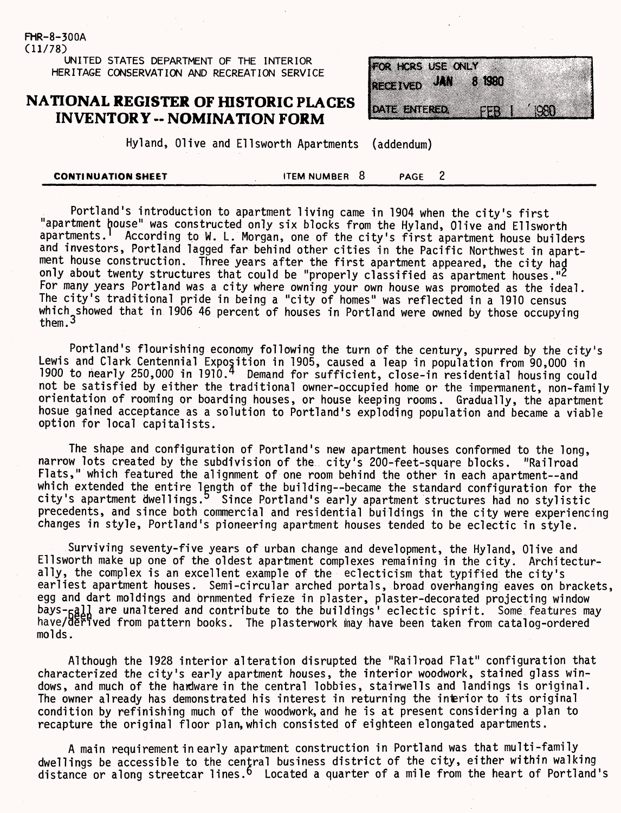(11/78) UNITED STATES DEPARTMENT OF THE INTERIOR HERITAGE CONSERVATION AND RECREATION SERVICE

FHR-8-300A

#### **NATIONAL REGISTER OF HISTORIC PLACES INVENTORY - NOMINATION FORM**

| FOR HORS USE ONLY   |           |  |
|---------------------|-----------|--|
| <b>DATE ENTERED</b> | FEB 1 880 |  |

Hyland, Olive and Ellsworth Apartments (addendum)

| <b>CONTINUATION SHEET</b> |  | ITEM NUMBER 8 |  | <b>PAGE</b> |  |  |
|---------------------------|--|---------------|--|-------------|--|--|
|---------------------------|--|---------------|--|-------------|--|--|

Portland's introduction to apartment living came in 1904 when the city's first "apartment house" was constructed only six blocks from the Hyland, Olive and Ellsworth apartments.<sup>1</sup> According to W. L. Morgan, one of the city's first apartment house builders and investors, Portland lagged far behind other cities in the Pacific Northwest in apartment house construction. Three years after the first apartment appeared, the city had only about twenty structures that could be "properly classified as apartment houses."<sup>2</sup> For many years Portland was a city where owning your own house was promoted as the ideal. The city's traditional pride in being a "city of homes" was reflected in a 1910 census which showed that in 1906 46 percent of houses in Portland were owned by those occupying them. $3$ 

Portland's flourishing economy following the turn of the century, spurred by the city's Lewis and Clark Centennial Exposition in 1905, caused a leap in population from 90,000 in 1900 to nearly 250,000 in 1910. 4 Demand for sufficient, close-in residential housing could not be satisfied by either the traditional owner-occupied home or the impermanent, non-family orientation of rooming or boarding houses, or house keeping rooms. Gradually, the apartment hosue gained acceptance as a solution to Portland's exploding population and became a viable option for local capitalists.

The shape and configuration of Portland's new apartment houses conformed to the long, narrow lots created by the subdivision of the city's 200-feet-square blocks. "Railroad Flats," which featured the alignment of one room behind the other in each apartment--and which extended the entire length of the building--became the standard configuration for the city's apartment dwellings. Since Portland's early apartment structures had no stylistic precedents, and since both commercial and residential buildings in the city were experiencing changes in style, Portland's pioneering apartment houses tended to be eclectic in style.

Surviving seventy-five years of urban change and development, the Hyland, Olive and Ellsworth make up one of the oldest apartment complexes remaining in the city. Architecturally, the complex is an excellent example of the eclecticism that typified the city's earliest apartment houses. Semi-circular arched portals, broad overhanging eaves on brackets, egg and dart moldings and brnmented frieze in plaster, plaster-decorated projecting window bays- $_{\text{B}}$ d, are unaltered and contribute to the buildings' eclectic spirit. Some features may have/derived from pattern books. The plasterwork may have been taken from catalog-ordered molds.

Although the 1928 interior alteration disrupted the "Railroad Flat" configuration that characterized the city's early apartment houses, the interior woodwork, stained glass windows, and much of the hardware in the central lobbies, stairwells and landings is original. The owner already has demonstrated his interest in returning the interior to its original condition by refinishing much of the woodwork, and he is at present considering a plan to recapture the original floor plan,which consisted of eighteen elongated apartments.

A main requirement in early apartment construction in Portland was that multi-family dwellings be accessible to the central business district of the city, either within walking distance or along streetcar lines.<sup>6</sup> Located a quarter of a mile from the heart of Portland's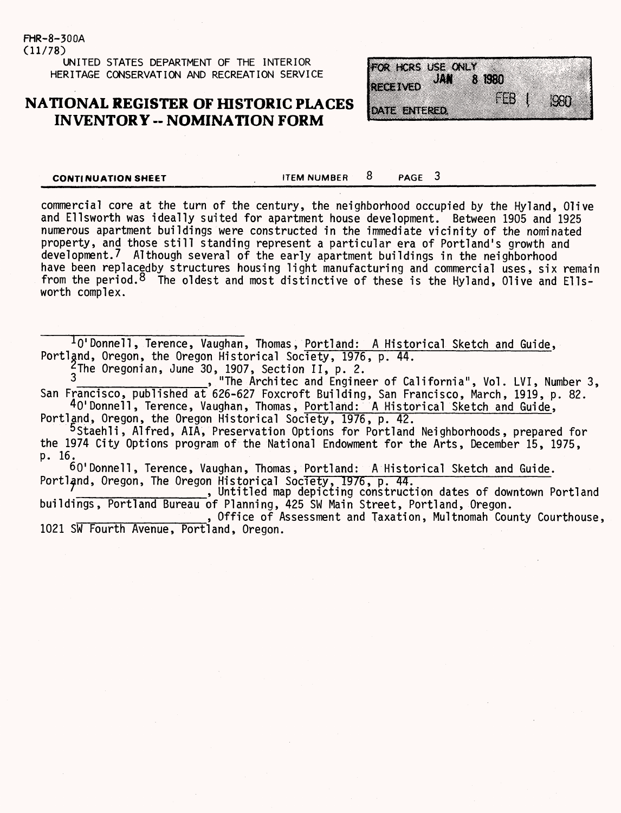(11/78) UNITED STATES DEPARTMENT OF THE INTERIOR HERITAGE CONSERVATION AND RECREATION SERVICE

FHR-8-300A

#### **NATIONAL REGISTER OF HISTORIC PLACES INVENTORY -- NOMINATION FORM**



**CONTINUATION SHEET ITEM NUMBER** 8 PAGE 3

commercial core at the turn of the century, the neighborhood occupied by the Hyland, Olive and Ellsworth was ideally suited for apartment house development. Between 1905 and 1925 numerous apartment buildings were constructed in the immediate vicinity of the nominated property, and those still standing represent a particular era of Portland's growth and development.7 Although several of the early apartment buildings in the neighborhood have been replacedby structures housing light manufacturing and commercial uses, six remain from the period.<sup>8</sup> The oldest and most distinctive of these is the Hyland, Olive and Ellsworth complex.

 $10'$ Donnell, Terence, Vaughan, Thomas, Portland: A Historical Sketch and Guide, Portland, Oregon, the Oregon Historical Society, 1976, p. 44. <sup>2</sup>The Oregonian, June 30, 1907, Section II, p. 2.<br>3

, "The Architec and Engineer of California", Vol. LVI, Number 3, San Francisco, published at 626-627 Foxcroft Building, San Francisco, March, 1919, p. 82. 40'Donnell, Terence, Vaughan, Thomas, Portland: A Historical Sketch and Guide,

Portland, Oregon, the Oregon Historical Society, 1976, p. 42.

5 Staehli, Alfred, AIA, Preservation Options for Portland Neighborhoods, prepared for the 1974 City Options program of the National Endowment for the Arts, December 15, 1975, p. 16.

60'Donnell, Terence, Vaughan, Thomas, Portland: A Historical Sketch and Guide.

Portland, Oregon, The Oregon Historical Society, 1976, p. 44. *<sup>1</sup>* \_\_\_\_\_\_\_\_\_\_\_\_\_, Untitled map depicting construction dates of downtown Portland buildings, Portland Bureau of Planning, 425 SW Main Street, Portland, Oregon.

\_\_\_\_\_\_\_\_\_\_\_\_\_, Office of Assessment and Taxation, Multnomah County Courthouse, 1021 SW Fourth Avenue, Portland, Oregon.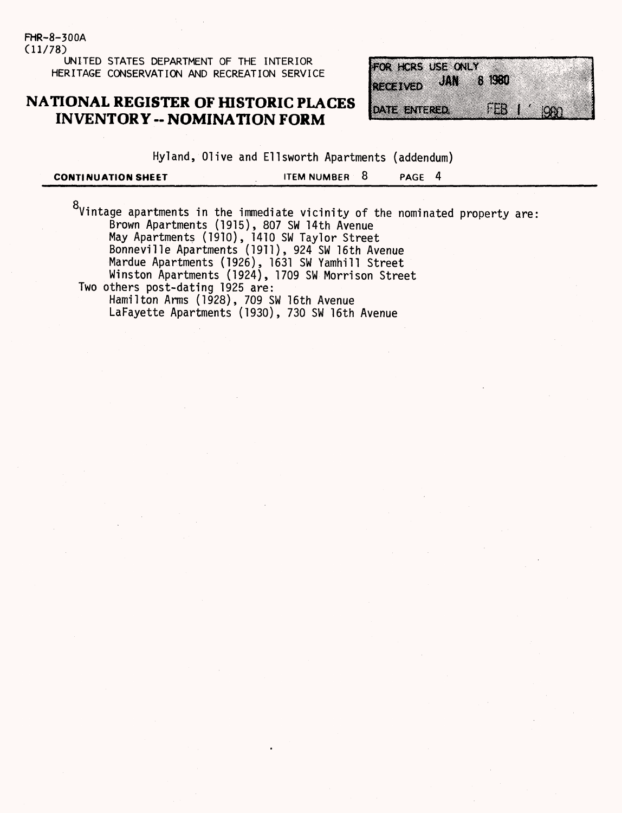FHR-8-300A (11/78) **UNITED STATES DEPARTMENT OF THE INTERIOR HERITAGE CONSERVATION AND RECREATION SERVICE**

### **NATIONAL REGISTER OF HISTORIC PLACES INVENTORY -- NOMINATION FORM**

| FOR HORS USE ONLY |                   |                               |
|-------------------|-------------------|-------------------------------|
| <b>RECEIVED</b>   | <b>JAN 8 1980</b> |                               |
| on ang a          |                   | $\mathbb{E}$ 1 $\mathbb{S}$ 1 |

Hyland, Olive and Ellsworth Apartments (addendum)

| <b>CONTINUATION SHEET</b> | ITEM NUMBER 8 | <b>PAGE</b> |  |
|---------------------------|---------------|-------------|--|
|                           |               |             |  |

 $^8$ Vintage apartments in the immediate vicinity of the nominated property are Brown Apartments (1915), 807 SW 14th Avenue May Apartments (1910), 1410 SW Taylor Street Bonneville Apartments (1911), 924 SW 16th Avenue Mardue Apartments (1926), 1631 SW Yamhill Street Winston Apartments (1924), 1709 SW Morrison Street Two others post-dating 1925 are: Hamilton Arms (1928), 709 SW 16th Avenue LaFayette Apartments (1930), 730 SW 16th Avenue